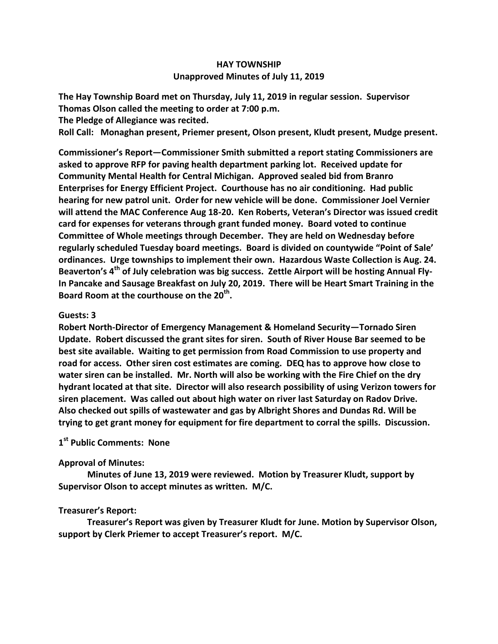## **HAY TOWNSHIP Unapproved Minutes of July 11, 2019**

**The Hay Township Board met on Thursday, July 11, 2019 in regular session. Supervisor Thomas Olson called the meeting to order at 7:00 p.m.** 

**The Pledge of Allegiance was recited.** 

**Roll Call: Monaghan present, Priemer present, Olson present, Kludt present, Mudge present.**

**Commissioner's Report—Commissioner Smith submitted a report stating Commissioners are asked to approve RFP for paving health department parking lot. Received update for Community Mental Health for Central Michigan. Approved sealed bid from Branro Enterprises for Energy Efficient Project. Courthouse has no air conditioning. Had public hearing for new patrol unit. Order for new vehicle will be done. Commissioner Joel Vernier will attend the MAC Conference Aug 18-20. Ken Roberts, Veteran's Director was issued credit card for expenses for veterans through grant funded money. Board voted to continue Committee of Whole meetings through December. They are held on Wednesday before regularly scheduled Tuesday board meetings. Board is divided on countywide "Point of Sale' ordinances. Urge townships to implement their own. Hazardous Waste Collection is Aug. 24. Beaverton's 4th of July celebration was big success. Zettle Airport will be hosting Annual Fly-In Pancake and Sausage Breakfast on July 20, 2019. There will be Heart Smart Training in the Board Room at the courthouse on the 20th .**

## **Guests: 3**

**Robert North-Director of Emergency Management & Homeland Security—Tornado Siren Update. Robert discussed the grant sites for siren. South of River House Bar seemed to be best site available. Waiting to get permission from Road Commission to use property and road for access. Other siren cost estimates are coming. DEQ has to approve how close to water siren can be installed. Mr. North will also be working with the Fire Chief on the dry hydrant located at that site. Director will also research possibility of using Verizon towers for siren placement. Was called out about high water on river last Saturday on Radov Drive. Also checked out spills of wastewater and gas by Albright Shores and Dundas Rd. Will be trying to get grant money for equipment for fire department to corral the spills. Discussion.**

# **1 st Public Comments: None**

## **Approval of Minutes:**

 **Minutes of June 13, 2019 were reviewed. Motion by Treasurer Kludt, support by Supervisor Olson to accept minutes as written. M/C.**

## **Treasurer's Report:**

 **Treasurer's Report was given by Treasurer Kludt for June. Motion by Supervisor Olson, support by Clerk Priemer to accept Treasurer's report. M/C.**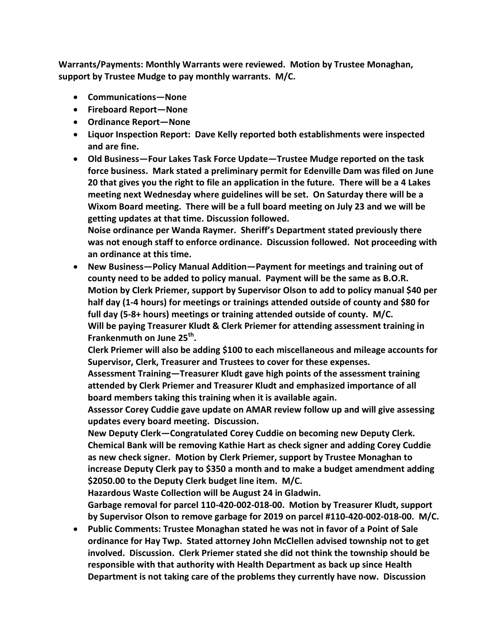**Warrants/Payments: Monthly Warrants were reviewed. Motion by Trustee Monaghan, support by Trustee Mudge to pay monthly warrants. M/C.**

- **Communications—None**
- **Fireboard Report—None**
- **Ordinance Report—None**
- **Liquor Inspection Report: Dave Kelly reported both establishments were inspected and are fine.**
- **Old Business—Four Lakes Task Force Update—Trustee Mudge reported on the task force business. Mark stated a preliminary permit for Edenville Dam was filed on June 20 that gives you the right to file an application in the future. There will be a 4 Lakes meeting next Wednesday where guidelines will be set. On Saturday there will be a Wixom Board meeting. There will be a full board meeting on July 23 and we will be getting updates at that time. Discussion followed.**

**Noise ordinance per Wanda Raymer. Sheriff's Department stated previously there was not enough staff to enforce ordinance. Discussion followed. Not proceeding with an ordinance at this time.** 

 **New Business—Policy Manual Addition—Payment for meetings and training out of county need to be added to policy manual. Payment will be the same as B.O.R. Motion by Clerk Priemer, support by Supervisor Olson to add to policy manual \$40 per half day (1-4 hours) for meetings or trainings attended outside of county and \$80 for full day (5-8+ hours) meetings or training attended outside of county. M/C. Will be paying Treasurer Kludt & Clerk Priemer for attending assessment training in Frankenmuth on June 25th .** 

**Clerk Priemer will also be adding \$100 to each miscellaneous and mileage accounts for Supervisor, Clerk, Treasurer and Trustees to cover for these expenses.**

**Assessment Training—Treasurer Kludt gave high points of the assessment training attended by Clerk Priemer and Treasurer Kludt and emphasized importance of all board members taking this training when it is available again.**

**Assessor Corey Cuddie gave update on AMAR review follow up and will give assessing updates every board meeting. Discussion.**

**New Deputy Clerk—Congratulated Corey Cuddie on becoming new Deputy Clerk. Chemical Bank will be removing Kathie Hart as check signer and adding Corey Cuddie as new check signer. Motion by Clerk Priemer, support by Trustee Monaghan to increase Deputy Clerk pay to \$350 a month and to make a budget amendment adding \$2050.00 to the Deputy Clerk budget line item. M/C.**

**Hazardous Waste Collection will be August 24 in Gladwin.**

**Garbage removal for parcel 110-420-002-018-00. Motion by Treasurer Kludt, support by Supervisor Olson to remove garbage for 2019 on parcel #110-420-002-018-00. M/C.**

 **Public Comments: Trustee Monaghan stated he was not in favor of a Point of Sale ordinance for Hay Twp. Stated attorney John McClellen advised township not to get involved. Discussion. Clerk Priemer stated she did not think the township should be responsible with that authority with Health Department as back up since Health Department is not taking care of the problems they currently have now. Discussion**